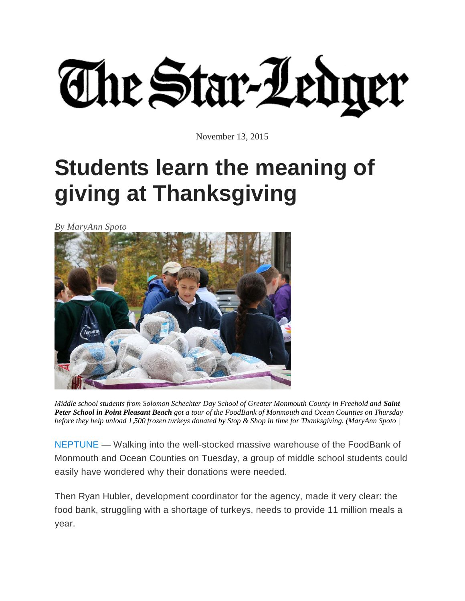The Star-Ledger

November 13, 2015

## **Students learn the meaning of giving at Thanksgiving**

*By MaryAnn Spoto*



*Middle school students from Solomon Schechter Day School of Greater Monmouth County in Freehold and Saint Peter School in Point Pleasant Beach got a tour of the FoodBank of Monmouth and Ocean Counties on Thursday before they help unload 1,500 frozen turkeys donated by Stop & Shop in time for Thanksgiving. (MaryAnn Spoto |* 

[NEPTUNE](http://www.nj.com/monmouth/) — Walking into the well-stocked massive warehouse of the FoodBank of Monmouth and Ocean Counties on Tuesday, a group of middle school students could easily have wondered why their donations were needed.

Then Ryan Hubler, development coordinator for the agency, made it very clear: the food bank, struggling with a shortage of turkeys, needs to provide 11 million meals a year.